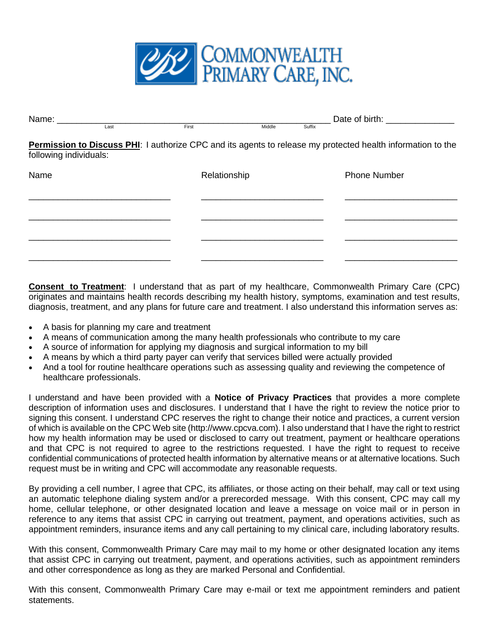

| Name: $\_\_$           |      |              | Date of birth: Date of birth: |        |                                                                                                             |
|------------------------|------|--------------|-------------------------------|--------|-------------------------------------------------------------------------------------------------------------|
|                        | Last | First        | Middle                        | Suffix |                                                                                                             |
| following individuals: |      |              |                               |        | Permission to Discuss PHI: I authorize CPC and its agents to release my protected health information to the |
| Name                   |      | Relationship |                               |        | <b>Phone Number</b>                                                                                         |
|                        |      |              |                               |        |                                                                                                             |
|                        |      |              |                               |        |                                                                                                             |
|                        |      |              |                               |        |                                                                                                             |

**Consent to Treatment**: I understand that as part of my healthcare, Commonwealth Primary Care (CPC) originates and maintains health records describing my health history, symptoms, examination and test results, diagnosis, treatment, and any plans for future care and treatment. I also understand this information serves as:

- A basis for planning my care and treatment
- A means of communication among the many health professionals who contribute to my care
- A source of information for applying my diagnosis and surgical information to my bill
- A means by which a third party payer can verify that services billed were actually provided
- And a tool for routine healthcare operations such as assessing quality and reviewing the competence of healthcare professionals.

I understand and have been provided with a **Notice of Privacy Practices** that provides a more complete description of information uses and disclosures. I understand that I have the right to review the notice prior to signing this consent. I understand CPC reserves the right to change their notice and practices, a current version of which is available on the CPC Web site (http://www.cpcva.com). I also understand that I have the right to restrict how my health information may be used or disclosed to carry out treatment, payment or healthcare operations and that CPC is not required to agree to the restrictions requested. I have the right to request to receive confidential communications of protected health information by alternative means or at alternative locations. Such request must be in writing and CPC will accommodate any reasonable requests.

By providing a cell number, I agree that CPC, its affiliates, or those acting on their behalf, may call or text using an automatic telephone dialing system and/or a prerecorded message. With this consent, CPC may call my home, cellular telephone, or other designated location and leave a message on voice mail or in person in reference to any items that assist CPC in carrying out treatment, payment, and operations activities, such as appointment reminders, insurance items and any call pertaining to my clinical care, including laboratory results.

With this consent, Commonwealth Primary Care may mail to my home or other designated location any items that assist CPC in carrying out treatment, payment, and operations activities, such as appointment reminders and other correspondence as long as they are marked Personal and Confidential.

With this consent, Commonwealth Primary Care may e-mail or text me appointment reminders and patient statements.